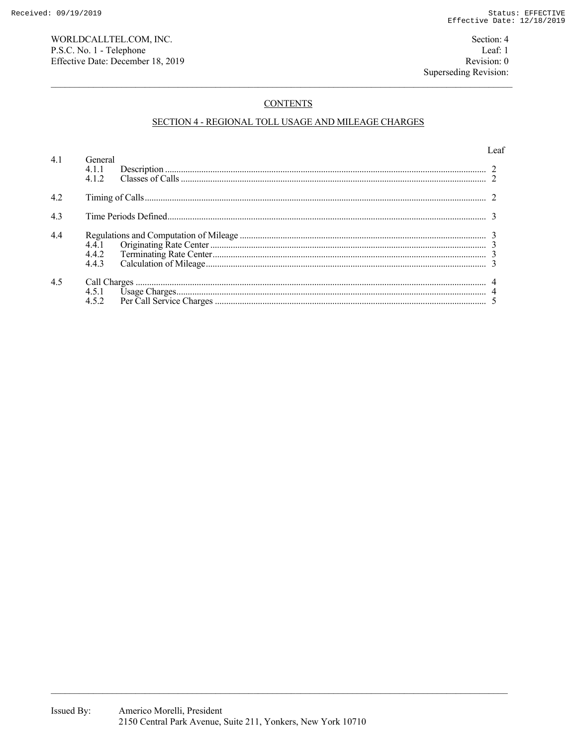WORLDCALLTEL.COM, INC. P.S.C. No. 1 - Telephone Effective Date: December 18, 2019

Section: 4 Leaf: 1 Revision: 0 Superseding Revision:

# **CONTENTS**

# SECTION 4 - REGIONAL TOLL USAGE AND MILEAGE CHARGES

|     |         | eaf |
|-----|---------|-----|
| 4.1 | General |     |
| 4.2 |         |     |
| 4.3 |         |     |
| 4.4 |         |     |
| 4.5 |         |     |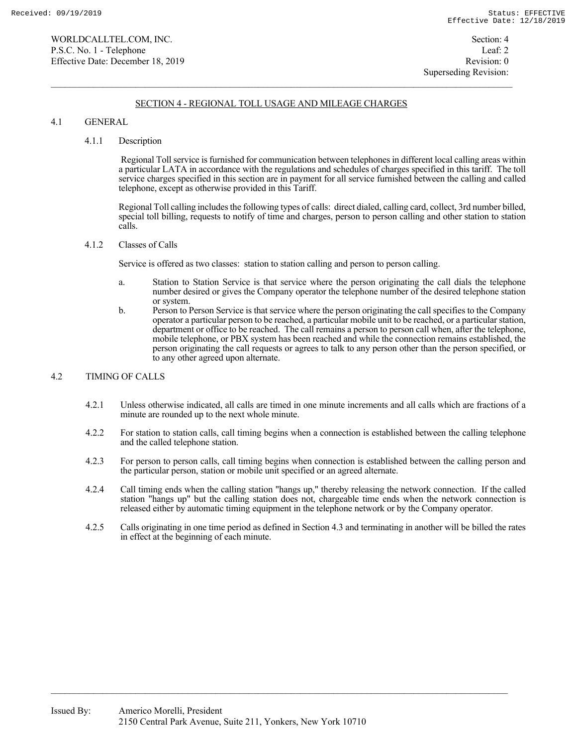# SECTION 4 - REGIONAL TOLL USAGE AND MILEAGE CHARGES

#### 4.1 GENERAL

#### 4.1.1 Description

 Regional Tollservice is furnished for communication between telephones in different local calling areas within a particular LATA in accordance with the regulations and schedules of charges specified in this tariff. The toll service charges specified in this section are in payment for all service furnished between the calling and called telephone, except as otherwise provided in this Tariff.

 Regional Toll calling includes the following types of calls: direct dialed, calling card, collect, 3rd number billed, special toll billing, requests to notify of time and charges, person to person calling and other station to station calls.

#### 4.1.2 Classes of Calls

Service is offered as two classes: station to station calling and person to person calling.

- a. Station to Station Service is that service where the person originating the call dials the telephone number desired or gives the Company operator the telephone number of the desired telephone station or system.
- b. Person to Person Service is that service where the person originating the call specifies to the Company operator a particular person to be reached, a particular mobile unit to be reached, or a particular station, department or office to be reached. The call remains a person to person call when, after the telephone, mobile telephone, or PBX system has been reached and while the connection remains established, the person originating the call requests or agrees to talk to any person other than the person specified, or to any other agreed upon alternate.

### 4.2 TIMING OF CALLS

- 4.2.1 Unless otherwise indicated, all calls are timed in one minute increments and all calls which are fractions of a minute are rounded up to the next whole minute.
- 4.2.2 For station to station calls, call timing begins when a connection is established between the calling telephone and the called telephone station.
- 4.2.3 For person to person calls, call timing begins when connection is established between the calling person and the particular person, station or mobile unit specified or an agreed alternate.
- 4.2.4 Call timing ends when the calling station "hangs up," thereby releasing the network connection. If the called station "hangs up" but the calling station does not, chargeable time ends when the network connection is released either by automatic timing equipment in the telephone network or by the Company operator.
- 4.2.5 Calls originating in one time period as defined in Section 4.3 and terminating in another will be billed the rates in effect at the beginning of each minute.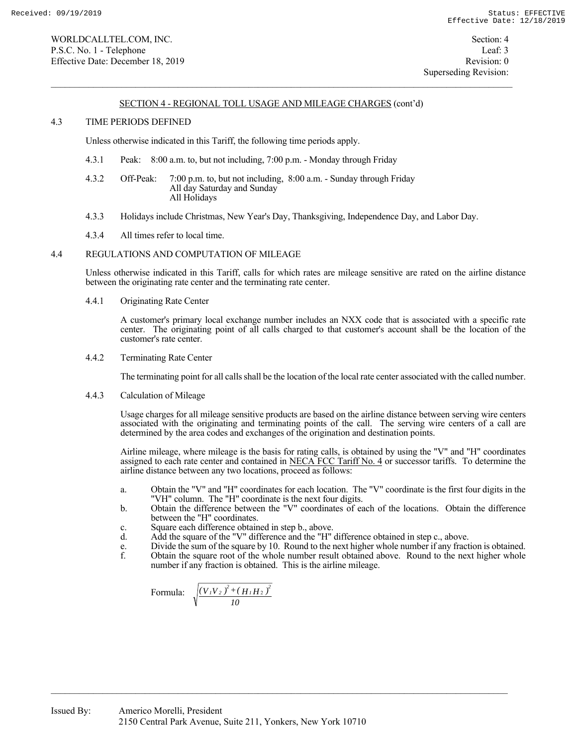### SECTION 4 - REGIONAL TOLL USAGE AND MILEAGE CHARGES (cont'd)

#### 4.3 TIME PERIODS DEFINED

Unless otherwise indicated in this Tariff, the following time periods apply.

- 4.3.1 Peak: 8:00 a.m. to, but not including, 7:00 p.m. Monday through Friday
- 4.3.2 Off-Peak: 7:00 p.m. to, but not including, 8:00 a.m. Sunday through Friday All day Saturday and Sunday All Holidays
- 4.3.3 Holidays include Christmas, New Year's Day, Thanksgiving, Independence Day, and Labor Day.
- 4.3.4 All times refer to local time.

### 4.4 REGULATIONS AND COMPUTATION OF MILEAGE

 Unless otherwise indicated in this Tariff, calls for which rates are mileage sensitive are rated on the airline distance between the originating rate center and the terminating rate center.

4.4.1 Originating Rate Center

 A customer's primary local exchange number includes an NXX code that is associated with a specific rate center. The originating point of all calls charged to that customer's account shall be the location of the customer's rate center.

4.4.2 Terminating Rate Center

The terminating point for all calls shall be the location of the local rate center associated with the called number.

4.4.3 Calculation of Mileage

 Usage charges for all mileage sensitive products are based on the airline distance between serving wire centers associated with the originating and terminating points of the call. The serving wire centers of a call are determined by the area codes and exchanges of the origination and destination points.

 Airline mileage, where mileage is the basis for rating calls, is obtained by using the "V" and "H" coordinates assigned to each rate center and contained in NECA FCC Tariff No. 4 or successor tariffs. To determine the airline distance between any two locations, proceed as follows:

- a. Obtain the "V" and "H" coordinates for each location. The "V" coordinate is the first four digits in the "VH" column. The "H" coordinate is the next four digits.
- b. Obtain the difference between the "V" coordinates of each of the locations. Obtain the difference between the "H" coordinates.
- c. Square each difference obtained in step b., above.

*10*

- d. Add the square of the "V" difference and the "H" difference obtained in step c., above.
- e. Divide the sum of the square by 10. Round to the next higher whole number if any fraction is obtained.<br>
f. Obtain the square root of the whole number result obtained above. Round to the next higher whole
- Obtain the square root of the whole number result obtained above. Round to the next higher whole number if any fraction is obtained. This is the airline mileage.

 Formula:  $(V_I V_2)^2 + (H_I H_2)^2$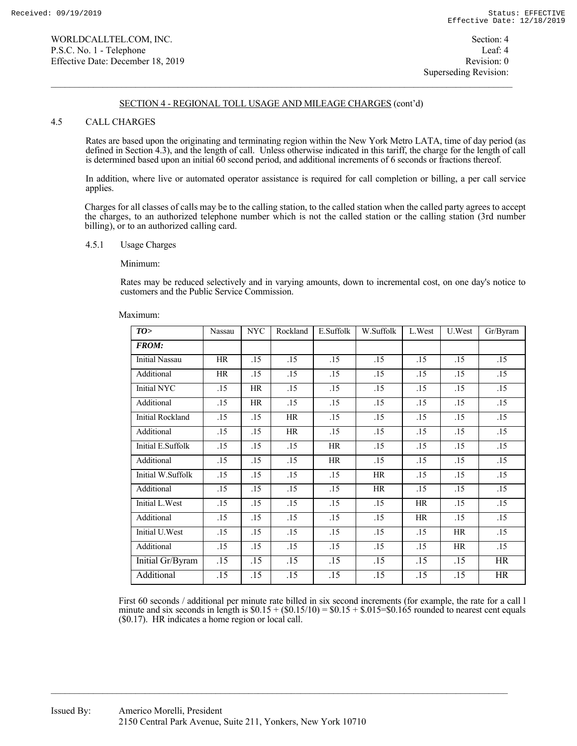### SECTION 4 - REGIONAL TOLL USAGE AND MILEAGE CHARGES (cont'd)

#### 4.5 CALL CHARGES

 Rates are based upon the originating and terminating region within the New York Metro LATA, time of day period (as defined in Section 4.3), and the length of call. Unless otherwise indicated in this tariff, the charge for the length of call is determined based upon an initial 60 second period, and additional increments of 6 seconds or fractions thereof.

 In addition, where live or automated operator assistance is required for call completion or billing, a per call service applies.

Charges for all classes of calls may be to the calling station, to the called station when the called party agrees to accept the charges, to an authorized telephone number which is not the called station or the calling station (3rd number billing), or to an authorized calling card.

#### 4.5.1 Usage Charges

#### Minimum:

 Rates may be reduced selectively and in varying amounts, down to incremental cost, on one day's notice to customers and the Public Service Commission.

| TO>                     | Nassau    | <b>NYC</b> | Rockland         | E.Suffolk | W.Suffolk | L.West    | U.West | Gr/Byram         |
|-------------------------|-----------|------------|------------------|-----------|-----------|-----------|--------|------------------|
| <b>FROM:</b>            |           |            |                  |           |           |           |        |                  |
| Initial Nassau          | <b>HR</b> | .15        | .15              | .15       | .15       | .15       | .15    | .15              |
| Additional              | HR        | .15        | .15              | .15       | .15       | .15       | .15    | .15              |
| Initial NYC             | .15       | <b>HR</b>  | .15              | .15       | .15       | .15       | .15    | .15              |
| Additional              | .15       | <b>HR</b>  | .15              | .15       | .15       | .15       | .15    | .15              |
| <b>Initial Rockland</b> | .15       | .15        | <b>HR</b>        | .15       | .15       | .15       | .15    | .15              |
| Additional              | .15       | .15        | <b>HR</b>        | .15       | .15       | .15       | .15    | .15              |
| Initial E.Suffolk       | .15       | .15        | .15              | <b>HR</b> | .15       | .15       | .15    | .15              |
| Additional              | .15       | .15        | .15              | <b>HR</b> | .15       | .15       | .15    | .15              |
| Initial W.Suffolk       | .15       | .15        | .15              | .15       | <b>HR</b> | .15       | .15    | .15              |
| Additional              | .15       | .15        | .15              | .15       | HR        | .15       | .15    | .15              |
| Initial L.West          | .15       | .15        | $\overline{.15}$ | .15       | .15       | <b>HR</b> | .15    | $\overline{.15}$ |
| Additional              | .15       | .15        | .15              | .15       | .15       | HR        | .15    | .15              |
| Initial U.West          | .15       | .15        | .15              | .15       | .15       | .15       | HR     | .15              |
| Additional              | .15       | .15        | .15              | .15       | .15       | .15       | HR     | .15              |
| Initial Gr/Byram        | .15       | .15        | .15              | .15       | .15       | .15       | .15    | HR               |
| Additional              | .15       | .15        | .15              | .15       | .15       | .15       | .15    | HR               |

First 60 seconds / additional per minute rate billed in six second increments (for example, the rate for a call l minute and six seconds in length is  $$0.15 + $0.15/10 = $0.15 + $0.15 = $0.165$  rounded to nearest cent equals (\$0.17). HR indicates a home region or local call.